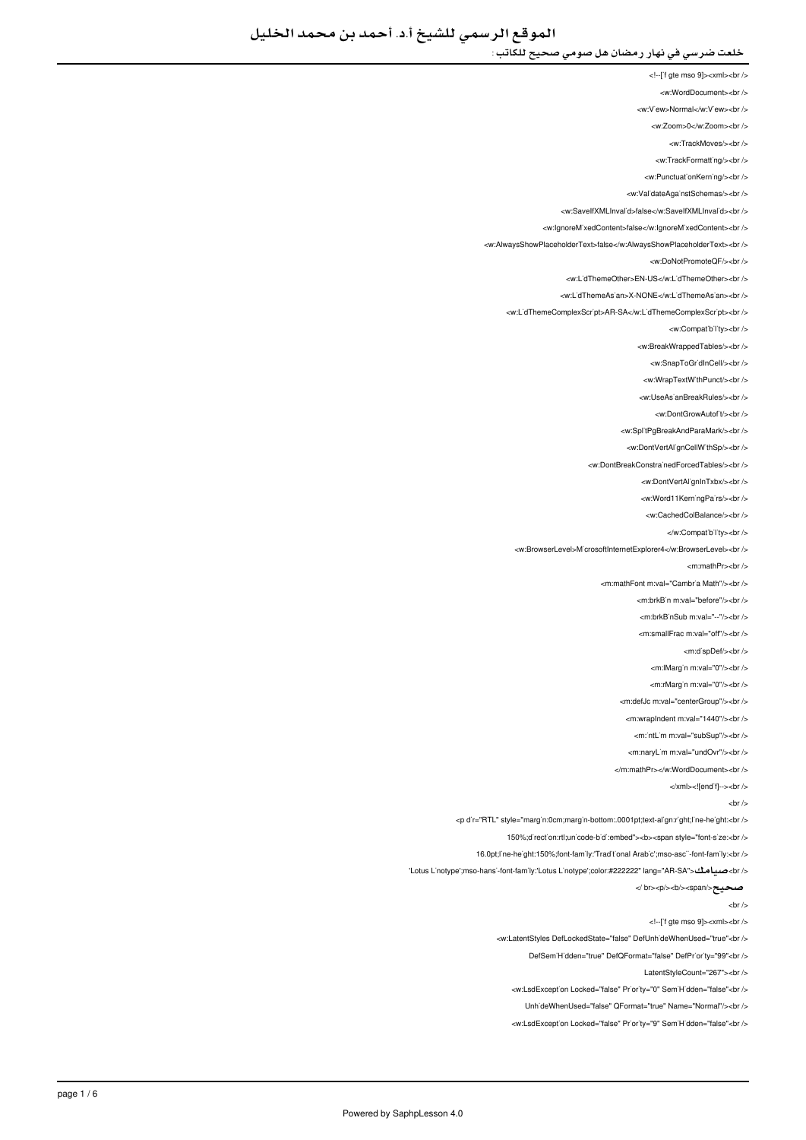- <!--['f gte mso 9]><xml><br/>>br />
- <w:WordDocument><br />
- <w:V'ew>Normal</w:V'ew><br/></w
- <w:Zoom>0</w:Zoom><br/><br/>
	- <w:TrackMoves/><br/><br/>
	- <w:TrackFormatting/>
- <w PunctuationKerning/><br />
- 
- <w:ValidateAgainstSchemas/><br/>
- <w:SaveIfXMLInvalid>false</w:SaveIfXMLInvalid><br/></w </
- <w:lgnoreMixedContent>false</w:lgnoreMixedContent><br />
- <w:AlwaysShowPlaceholderText>false</w:AlwaysShowPlaceholderText><br/><br/>
	- <w:DoNotPromoteQF/><br/><br/>
	- <w:L'dThemeOther>EN-US</w:L'dThemeOther><br />
	- <w:LidThemeAsian>X-NONE</w:LidThemeAsian><ht></
	- <w:LidThemeComplexScript>AR-SA</w:LidThemeComplexScript><br/><br/>
		- - <w:Compatibility><br/><br/>
			- <w:BreakWrappedTables/><br />
			- <w:SnapToGr'dInCell/><br />
			- <w:WrapTextWithPunct/><br/><br/>
			- </ br></UseAsianBreakRules:w <
				- <w:DontGrowAutof<sub>t</sub>/>t/><br/></br
			- <w:SplitPgBreakAndParaMark/><br />
			-
			- <w:DontVertAl'gnCellW'thSp/><br />
		- <w:DontBreakConstrainedForcedTables/><br />
			- <w:DontVertAlignInTxbx/><br/></br>
			- <w:Word11KerningPairs/><br/></br>
			- <w:CachedColBalance/s<hr /s
				- </w:Compatibility><br/></w
				-
	- <w:BrowserLevel>M'crosoftInternetExplorer4</w:BrowserLevel><br />
		- <m:mathPr><br/>->br />
		- <m:mathFont:m:val="Cambria Math"/s<br/><ht:
			- <m:brkB'n m:val="before"/><br/>>hr>
				- <m:brkBinSub m:val="--"/><br />
				-
				- <m:smallFrac.m:val="off"/><hr
					- <m:dispDef/><br/>>>/>
					- <m:lMargin m:val="0"/><br/>>br />
					- <m:rMargin m:val="0"/><br/><br/>b>
			- <m:defJc m:val="centerGroup"/><br />
			- <m:wrapIndent m:val="1440"/><br />
			- <m:'ntl im m:val="subSup"/><hr />
				-
			- <m:naryLim m:val="undOvr"/><br />
			- </m:mathPr></w:WordDocument><hr
				- </xml><![endif]--><br/>>
					- $chr/$
- <p d'r="RTL" style="marg'n:0cm;marg'n-bottom:.0001pt;text-align:right;line-height:<br/>khi
	- 150%;direction:rtl;unicode-bidi:embed"><b</a>spanstyle="font-size:<br/>shild-
	- 16.0pt;line-height:150%;font-family:'Traditional Arabic';mso-asci-font-family:<br/>cbr />
- </ btus L'notype';mso-hansi-font-family:'Lotus Linotype';color:#222222" lang="AR-SA"> حسامك
	- - صحيح</span></b></p><br /<
			- $\frac{1}{2}$
		- <!--['f gte mso 9]><xml><br/>>br />
		- <w:LatentStyles DefLockedState="false" DefUnhideWhenUsed="true"<br />
			- DefSem Hidden="true" DefOFormat="false" DefPriority="99"<br />
				- LatentStyleCount="267"><br />
			- <w:LsdException Locked="false" Priority="0" SemiHidden="false"<br/>>ht/>
				- Unh'deWhenUsed="false" QFormat="true" Name="Normal"/><br />
			- <w:LsdException Locked="false" Priority="9" SemiHidden="false"<br/>>ht/>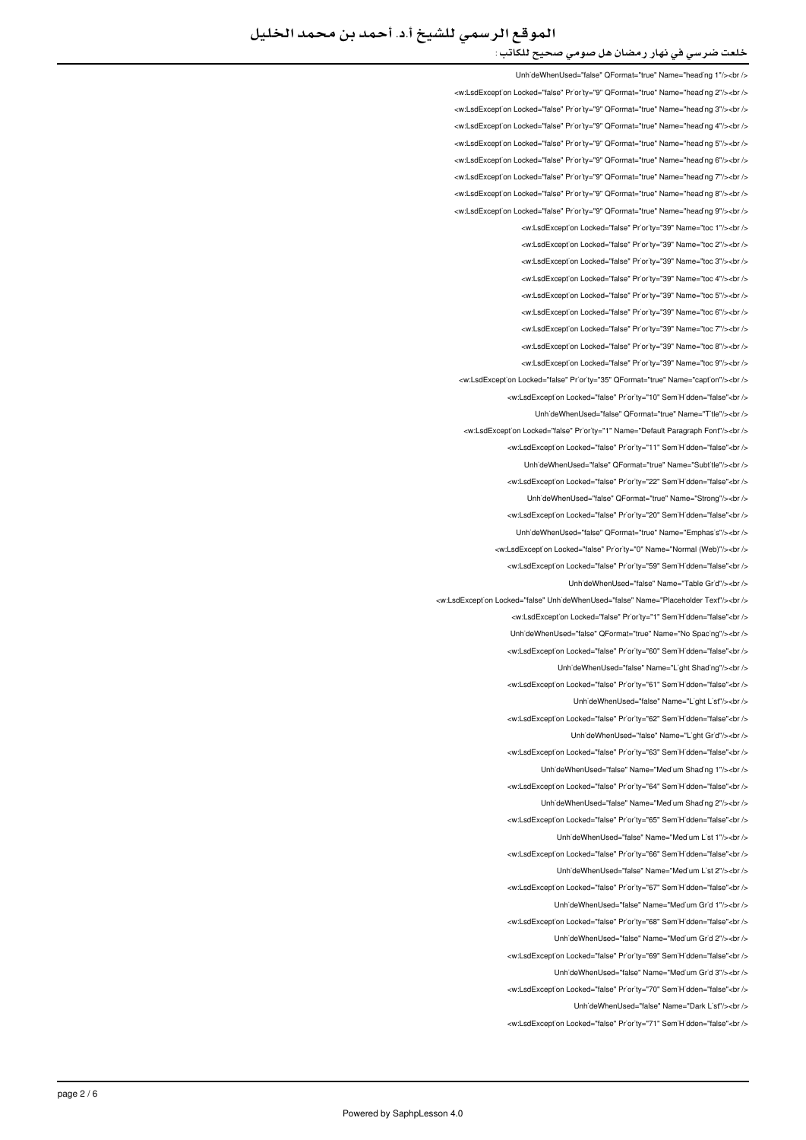UnhideWhenUsed="false" OFormat="true" Name="heading 1"/><hr /> <w:LsdException Locked="false" Priority="9" QFormat="true" Name="heading 2"/><br /> <w:LsdException Locked="false" Priority="9" QFormat="true" Name="heading 3"/><br /> <w:LsdExcept'on Locked="false" Pr'or'ty="9" QFormat="true" Name="head'ng 4"/><br /> <w:LsdExcept'on Locked="false" Pr'or'ty="9" QFormat="true" Name="heading 5"/><br /> <w:LsdException Locked="false" Priority="9" QEormat="true" Name="beading 6"/><br /> <w:LsdException Locked="false" Priority="9" QFormat="true" Name="heading 7"/><br /> <w:LsdException Locked="false" Priority="9" QFormat="true" Name="heading 8"/><br /> <w:LsdException:Locked="false" Priority="9" QEormat="true" Name="beading 9"/><hr <w:LsdException Locked="false" Priority="39" Name="toc 1"/><br/><br/>khorid="toc <w:LsdException Locked="false" Priority="39" Name="toc 2"/><br/>>htion: <w:LsdException Locked="false" Priority="39" Name="toc 3"/><br /> <w:LsdException Locked="false" Priority="39" Name="toc 4"/><br /> <w:LsdExcept'on Locked="false" Pr'or'ty="39" Name="toc 5"/><br /> <w:LsdException Locked="false" Priority="39" Name="toc 6"/><br /> <w:LsdException Locked="false" Priority="39" Name="toc 7"/><br /> <w:LsdException Locked="false" Priority="39" Name="toc 8"/><br /> <w:LsdException Locked="false" Priority="39" Name="toc 9"/><br /> <w:LsdException Locked="false" Priority="35" QFormat="true" Name="caption"/><br /> will sdException Locked="false" Priority="10" SemiHidden="false" chr Unh'deWhenUsed="false" QFormat="true" Name="T'tle"/><br /> <w:LsdException Locked="false" Priority="1" Name="Default Paragraph Font"/><br /> <w:LsdException Locked="false" Priority="11" SemiHidden="false"<br/>>ht/> Unh'deWhenUsed="false" QFormat="true" Name="Subt'tle"/><br /> <w:LsdException Locked="false" Priority="22" SemiHidden="false"<br/>chi UnhideWhenUsed="false" QFormat="true" Name="Strong"/><br /> <w:LsdException Locked="false" Priority="20" SemiHidden="false"<br/>chi/> Linh'deWhenLised="false" OFormat="true" Name="Emphasis"/><hr /> <w:LsdException Locked="false" Priority="0" Name="Normal (Web)"/><br /> <w:LsdException Locked="false" Priority="59" SemiHidden="false"<br/>>htion: </ br></"Grid Table="Name" false="UnhideWhenUsed <w:LsdExcept'on Locked="false" Unh'deWhenUsed="false" Name="Placeholder Text"/><br /> <w:LsdException Locked="false" Priority="1" SemiHidden="false"<br/>check LinhideWhenLised="false" OFormat="true" Name="No Spacing"/s<hr /s <w:LsdException Locked="false" Priority="60" SemiHidden="false"<br/>kor/> UnhideWhenUsed="false" Name="Light Shading"/><br /> <w:LsdExcept'on Locked="false" Priority="61" Sem'H'dden="false"<br /> UnhideWhenUsed="false" Name="Light List"/><br /> <w:LsdException Locked="false" Priority="62" SemiHidden="false"<br/>kor/> LinhideWhenLised="false" Name="Light Grid"/><hr /> <w:LsdException Locked="false" Priority="63" SemiHidden="false"<br/>chriden UnhideWhenUsed="false" Name="Medium Shading 1"/><br /> <w:LsdExcept'on Locked="false" Priority="64" Sem'H'dden="false"<br /> LinhideWhenUsed="false" Name="Medium Shading 2"/><ht /> <w:LsdException Locked="false" Priority="65" SemiHidden="false"<br/>cbr/> UnhideWhenUsed="false" Name="Medium List 1"/><br /> <w:LsdException Locked="false" Priority="66" SemiHidden="false"<br/>>ht/> UnhideWhenUsed="false" Name="Medium List 2"/><br /> will sdException Locked="false" Priority="67" SemiHidden="false".<hr /> UnhideWhenUsed="false" Name="Medium Grid 1"/><br /> <w:LsdExcept'on Locked="false" Pr'or'ty="68" Sem'H'dden="false"<br /> UnhideWhenUsed="false" Name="Medium Grid 2"/><br /> <w:LsdException Locked="false" Priority="69" SemiHidden="false"<br/>chr UnhideWhenUsed="false" Name="Medium Grid 3"/><br /> <w:LsdException Locked="false" Priority="70" SemiHidden="false"<br/>check Unh'deWhenUsed="false" Name="Dark L'st"/><br />

<w:LsdException Locked="false" Priority="71" SemiHidden="false"<br/>chriden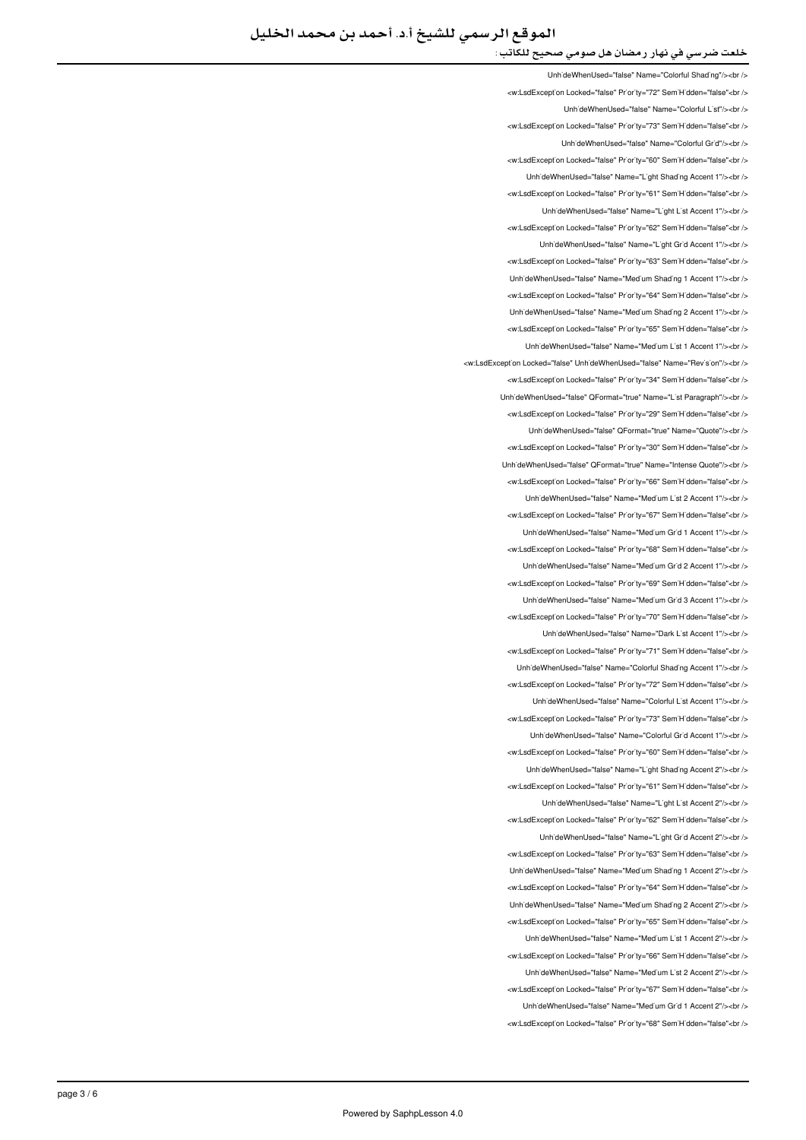UnhideWhenUsed="false" Name="Colorful Shading"/><ht /> </w:LsdException Locked="false" Priority="72" SemiHidden="false"<br/>child UnhideWhenUsed="false" Name="Colorful List"/><ht <w:LsdException Locked="false" Priority="73" SemiHidden="false"<br/>kor/> UnhideWhenUsed="false" Name="Colorful Grid"/><br /> <w:LsdException Locked="false" Priority="60" SemiHidden="false"<br/>chri LinhideWhenUsed="false" Name="Light Shading Accent 1"/><br /> <w:LsdException Locked="false" Priority="61" SemiHidden="false"<br/>>htion: LinhideWhenLised="false" Name="Light List Accent 1"/><hr /> <w:LsdException Locked="false" Priority="62" SemiHidden="false"<br /> UnhideWhenUsed="false" Name="Light Grid Accent 1"/><br /> <w:LsdException Locked="false" Priority="63" SemiHidden="false"<br /> UnhideWhenUsed="false" Name="Medium Shading 1 Accent 1"/><br /> <w:LsdExcept'on Locked="false" Pr'or'ty="64" Sem'H'dden="false"<br /> Unh'deWhenUsed="false" Name="Med'um Shad'ng 2 Accent 1"/><br /> <w:LsdException Locked="false" Priority="65" SemiHidden="false"<br/>chriden Unh'deWhenUsed="false" Name="Med'um L'st 1 Accent 1"/><br /> <w:LsdException Locked="false" UnhideWhenUsed="false" Name="Revision"/><br /> w:LsdExcept'on Locked="false" Pr'or'ty="34" Sem'H'dden="false"<br /> LinhideWhenHeed="false" OFormat="true" Name="List Paragraph"/>>hr <w:LsdException Locked="false" Priority="29" SemiHidden="false"<br/>kor/> UnhideWhenUsed="false" QFormat="true" Name="Quote"/><ht /> <w:LsdExcept'on Locked="false" Pr'or'ty="30" Sem'H'dden="false"<br /> Unh'deWhenUsed="false" QFormat="true" Name="Intense Quote"/><br /> <w:LsdException Locked="false" Priority="66" SemiHidden="false"<br/>chi UnhideWhenUsed="false" Name="Medium List 2 Accent 1"/><br/>>br /> <w:LsdException Locked="false" Priority="67" SemiHidden="false"<br/>>htion: </ br></"1 Accent 1 Grid Medium="Name" false="UnhideWhenUsed <w:LsdException Locked="false" Priority="68" SemiHidden="false"<br/>chriden Unh'deWhenUsed="false" Name="Med'um Gr'd 2 Accent 1"/><br /> <w:LsdException Locked="false" Priority="69" SemiHidden="false"<hr /> Unh'deWhenUsed="false" Name="Med'um Gr'd 3 Accent 1"/><br /> <w:LsdException Locked="false" Priority="70" SemiHidden="false"<br/>chi LinhideWhenLised="false" Name="Dark List Accent 1"/><hr /> <w:LsdException Locked="false" Priority="71" SemiHidden="false"<br/>kor/> Unh'deWhenUsed="false" Name="Colorful Shading Accent 1"/><br /> <w:LsdExcept'on Locked="false" Priority="72" Sem'H'dden="false"<br /> UnhideWhenUsed="false" Name="Colorful List Accent 1"/><ht /> <w:LsdException Locked="false" Priority="73" SemiHidden="false"<br/>kor/> </ br></"1 Accent Grid Colorful="Name" false="UnhideWhenUsed <w:LsdException Locked="false" Priority="60" SemiHidden="false"<br/>chriden Unh'deWhenUsed="false" Name="L'ght Shad'ng Accent 2"/><br /> <w:LsdException Locked="false" Priority="61" SemiHidden="false"<br /> LinhideWhenUsed="false" Name="Light List Accent 2"/><ht /> <w:LsdException Locked="false" Priority="62" SemiHidden="false"<br/>cbr/> UnhideWhenUsed="false" Name="Light Grid Accent 2"/><br /> <w:LsdException Locked="false" Priority="63" SemiHidden="false"<br/>>ht/> Unh'deWhenUsed="false" Name="Med'um Shading 1 Accent 2"/><br /> will sdException Locked="false" Priority="64" SemiHidden="false">br / Unh'deWhenUsed="false" Name="Med'um Shad'ng 2 Accent 2"/><br /> <w:LsdExcept'on Locked="false" Pr'or'ty="65" Sem'H'dden="false"<br /> UnhideWhenUsed="false" Name="Medium List 1 Accent 2"/><br /> <w:LsdException Locked="false" Priority="66" SemiHidden="false"<br/>chr UnhideWhenUsed="false" Name="Medium List 2 Accent 2"/><br /> <w:LsdException Locked="false" Priority="67" SemiHidden="false"<br/>>ht/> Unh'deWhenUsed="false" Name="Med'um Gr'd 1 Accent 2"/><br /> <w:LsdException Locked="false" Priority="68" SemiHidden="false"<br/>chriden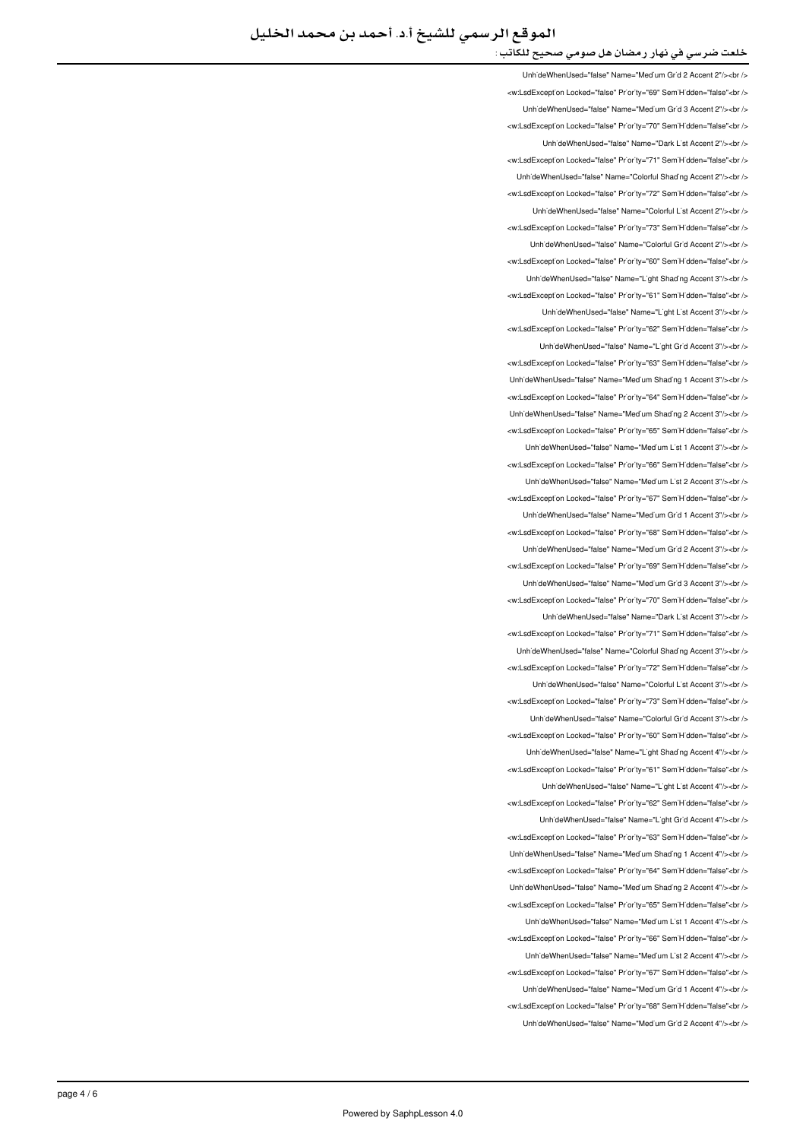UnhideWhenUsed="false" Name="Medium Grid 2 Accent 2"/><hr /> <w:LsdException Locked="false" Priority="69" SemiHidden="false"<br/>child UnhideWhenUsed="false" Name="Medium Grid 3 Accent 2"/><br /> <w:LsdException Locked="false" Priority="70" SemiHidden="false"<br/>kor/> UnhideWhenUsed="false" Name="Dark List Accent 2"/><br /> <w:LsdException Locked="false" Priority="71" SemiHidden="false"<br/>check UnhideWhenUsed="false" Name="Colorful Shading Accent 2"/><br /> <w:LsdExcept'on Locked="false" Priority="72" SemiHidden="false"<br/>>ht /> LinhideWhenUsed="false" Name="Colorful List Accent 2"/><hr /> <w:LsdException Locked="false" Priority="73" SemiHidden="false"<br /> UnhideWhenUsed="false" Name="Colorful Grid Accent 2"/><br /> <w:LsdException Locked="false" Priority="60" SemiHidden="false"<br /> UnhideWhenUsed="false" Name="Light Shading Accent 3"/><br /> <w:LsdExcept'on Locked="false" Pr'or'ty="61" Sem'H'dden="false"<br /> UnhideWhenUsed="false" Name="Light List Accent 3"/><br /> <w:LsdExcept'on Locked="false" Pr'or'ty="62" Sem'H'dden="false"<br /> Unh'deWhenUsed="false" Name="L'ght Gr'd Accent 3"/><br /> <w:LsdException Locked="false" Priority="63" SemiHidden="false"<br/>>htion: Unh'deWhenUsed="false" Name="Med'um Shad'ng 1 Accent 3"/><br /> will sdException Locked="false" Priority="64" SemiHidden="false" <ht /s Unh'deWhenUsed="false" Name="Med'um Shad'ng 2 Accent 3"/><br /> <w:LsdException Locked="false" Priority="65" SemiHidden="false"<br/>chriden Unh'deWhenUsed="false" Name="Med'um L'st 1 Accent 3"/><br /> <w:LsdException Locked="false" Priority="66" SemiHidden="false"<br/>>htion: UnhideWhenUsed="false" Name="Medium List 2 Accent 3"/><br /> <w:LsdException Locked="false" Priority="67" SemiHidden="false"<br/>>ht/> Unh'deWhenUsed="false" Name="Med'um Gr'd 1 Accent 3"/><br /> <w:LsdException Locked="false" Priority="68" SemiHidden="false"<hr /s LinhideWhenLised="false" Name="Medium Grid 2 Accent 3"/sabr /s <w:LsdException Locked="false" Priority="69" SemiHidden="false"<br/>>htion: LinhideWhenLised="false" Name="Medium Grid 3 Accent 3"/s<hr /s <w:LsdExcept'on Locked="false" Priority="70" Sem'H'dden="false"<br /> UnhideWhenUsed="false" Name="Dark List Accent 3"/><br /> <w:LsdException Locked="false" Priority="71" SemiHidden="false"<hr /s UnhideWhenUsed="false" Name="Colorful Shading Accent 3"/><ht /> <w:LsdException Locked="false" Priority="72" SemiHidden="false"<br/>>htion: UnhideWhenUsed="false" Name="Colorful List Accent 3"/><br /> <w:LsdException Locked="false" Priority="73" SemiHidden="false"<br/>chriden Unh'deWhenUsed="false" Name="Colorful Gr'd Accent 3"/><br /> <w:LsdException Locked="false" Priority="60" SemiHidden="false"<hr /> Unh'deWhenUsed="false" Name="L'ght Shad'ng Accent 4"/><br /> <w:LsdException Locked="false" Priority="61" SemiHidden="false"<br/>>htion: UnhideWhenUsed="false" Name="Light List Accent 4"/><br /> <w:LsdException Locked="false" Priority="62" SemiHidden="false"<br/>chriden Unh'deWhenUsed="false" Name="L'ght Gr'd Accent 4"/><br /> <w:LsdException Locked="false" Priority="63" SemiHidden="false"<br/>>ht/> UnhideWhenUsed="false" Name="Medium Shading 1 Accent 4"/><br /> <w:LsdExcept'on Locked="false" Priority="64" Sem'H'dden="false"<br /> LinhideWhenLised="false" Name="Medium Shading 2 Accent 4"/schr /s <w:LsdException Locked="false" Priority="65" SemiHidden="false"<br /> Unh'deWhenUsed="false" Name="Med'um L'st 1 Accent 4"/><br /> <w:LsdException Locked="false" Priority="66" SemiHidden="false"<br /> UnhideWhenUsed="false" Name="Medium List 2 Accent 4"/><br /> </w:LsdException Locked="false" Priority="67" SemiHidden="false"<br/>br/> UnhideWhenUsed="false" Name="Medium Grid 1 Accent 4"/><br /> <w:LsdException Locked="false" Priority="68" SemiHidden="false"<br /> UnhideWhenUsed="false" Name="Medium Grid 2 Accent 4"/><br />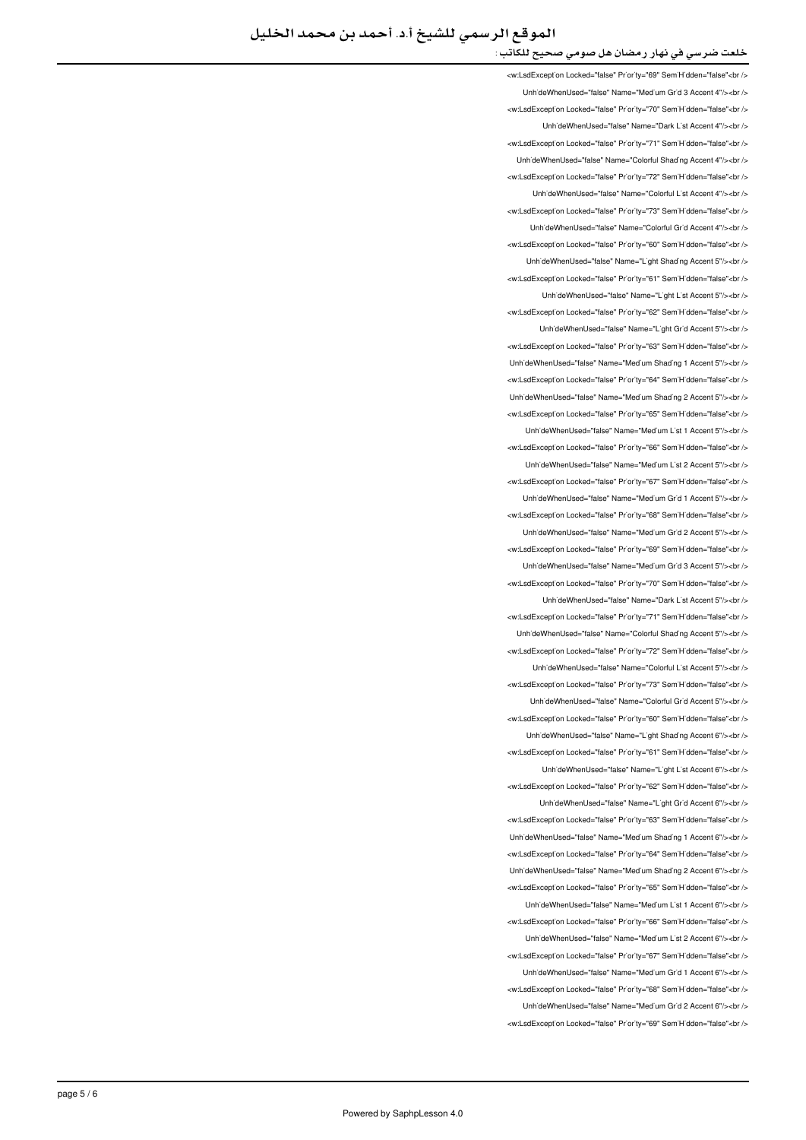<w:LsdException Locked="false" Priority="69" SemiHidden="false"<br /> UnhideWhenUsed="false" Name="Medium Grid 3 Accent 4"/><br /> <w:LsdException Locked="false" Priority="70" SemiHidden="false"<br/>>ht/> UnhideWhenUsed="false" Name="Dark List Accent 4"/><br /> <w:LsdExcept'on Locked="false" Priority="71" Sem'H'dden="false"<br /> LinhideWhenLised="false" Name="Colorful Shading Accent 4"/s<hr /s <w:LsdException Locked="false" Priority="72" SemiHidden="false"<br/>chriden Unh'deWhenUsed="false" Name="Colorful L'st Accent 4"/><br /> <w:LsdException Locked="false" Priority="73" SemiHidden="false"<hr /> UnhideWhenUsed="false" Name="Colorful Grid Accent 4"/><br /> <w:LsdException Locked="false" Priority="60" SemiHidden="false"<br/>check UnhideWhenUsed="false" Name="Light Shading Accent 5"/><br /> <w:LsdException Locked="false" Priority="61" SemiHidden="false"<br /> Unh'deWhenUsed="false" Name="L'ght L'st Accent 5"/><br /> <w:LsdException Locked="false" Priority="62" SemiHidden="false"<br /> Unh'deWhenUsed="false" Name="L'ght Gr'd Accent 5"/><br /> <w:LsdException Locked="false" Priority="63" SemiHidden="false"<br /> Unh'deWhenUsed="false" Name="Med'um Shad'ng 1 Accent 5"/><br /> <w:LsdExcept'on Locked="false" Pr'or'ty="64" Sem'H'dden="false"<br /> LinhideWhenLised="false" Name="Medium Shading 2 Accent 5"/schr /s <w:LsdExcept'on Locked="false" Pr'or'ty="65" Sem'H'dden="false"<br /> UnhideWhenUsed="false" Name="Medium List 1 Accent 5"/><ht /> <w:LsdException Locked="false" Priority="66" SemiHidden="false"<br /> UnhideWhenUsed="false" Name="Medium List 2 Accent 5"/><br /> <w:LsdException Locked="false" Priority="67" SemiHidden="false"<br/>chi UnhideWhenUsed="false" Name="Medium Grid 1 Accent 5"/><br /> <w:LsdException Locked="false" Priority="68" SemiHidden="false"<br/>>htion LinhideWhenLised="false" Name="Medium Grid 2 Accent 5"/s<hr /s <w:LsdException Locked="false" Priority="69" SemiHidden="false"<br/>chriden Unh'deWhenUsed="false" Name="Med'um Gr'd 3 Accent 5"/><br /> <w:LsdException Locked="false" Priority="70" SemiHidden="false"<hr /> UnhideWhenUsed="false" Name="Dark List Accent 5"/><br /> <w:LsdException Locked="false" Priority="71" SemiHidden="false"<br/>check Unh'deWhenUsed="false" Name="Colorful Shading Accent 5"/><br /> <w:LsdException Locked="false" Priority="72" SemiHidden="false"<br/>chriden Unh'deWhenUsed="false" Name="Colorful L'st Accent 5"/><br /> <w:LsdExcept'on Locked="false" Priority="73" Sem'H'dden="false"<br /> UnhideWhenUsed="false" Name="Colorful Grid Accent 5"/><ht /> <w:LsdException Locked="false" Priority="60" SemiHidden="false"<br/>kor/> LinhideWhenLised="false" Name="Light Shading Accent 6"/s<hr /s <w:LsdException Locked="false" Priority="61" SemiHidden="false"<br/>chriden UnhideWhenUsed="false" Name="Light List Accent 6"/><br /> <w:LsdException Locked="false" Priority="62" SemiHidden="false"<br /> UnhideWhenUsed="false" Name="Light Grid Accent 6"/><br /> <w:LsdException Locked="false" Priority="63" SemiHidden="false"<br/>kor/> UnhideWhenUsed="false" Name="Medium Shading 1 Accent 6"/><br /> <w:LsdException Locked="false" Priority="64" SemiHidden="false"<br/>>htion: Unh'deWhenUsed="false" Name="Med'um Shad'ng 2 Accent 6"/><br /> will sdException Locked="false" Priority="65" SemiHidden="false">br / Unh'deWhenUsed="false" Name="Med'um L'st 1 Accent 6"/><br /> <w:LsdExcept'on Locked="false" Pr'or'ty="66" Sem'H'dden="false"<br /> UnhideWhenUsed="false" Name="Medium List 2 Accent 6"/><br /> <w:LsdException Locked="false" Priority="67" SemiHidden="false"<br/>chr UnhideWhenUsed="false" Name="Medium Grid 1 Accent 6"/><br /> <w:LsdException Locked="false" Priority="68" SemiHidden="false"<br/>>ht/> Unh'deWhenUsed="false" Name="Med'um Gr'd 2 Accent 6"/><br /> <w:LsdException Locked="false" Priority="69" SemiHidden="false"<br/>chriden